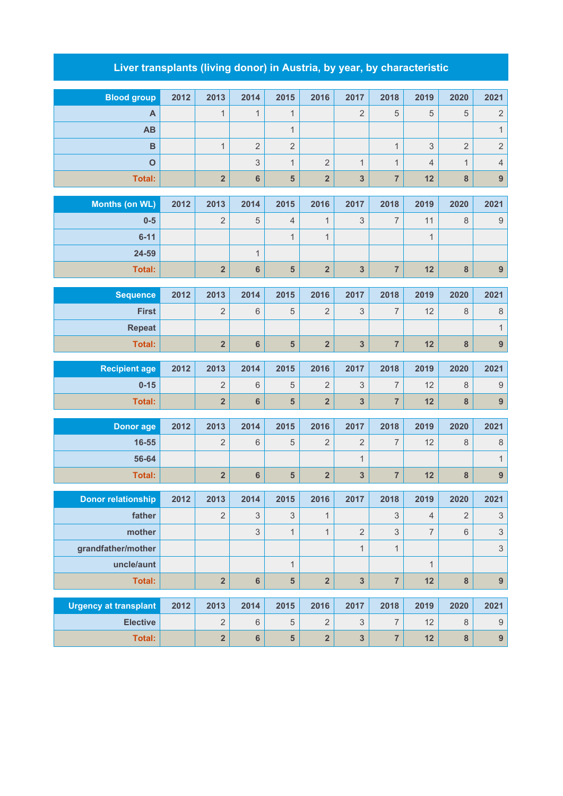## **Liver transplants (living donor) in Austria, by year, by characteristic**

| <b>Blood group</b>               | 2012 | 2013                    | 2014            | 2015                      | 2016                    | 2017                    | 2018                    | 2019           | 2020           | 2021             |
|----------------------------------|------|-------------------------|-----------------|---------------------------|-------------------------|-------------------------|-------------------------|----------------|----------------|------------------|
| A                                |      | 1                       | $\mathbf{1}$    | $\mathbf{1}$              |                         | $\overline{2}$          | 5                       | 5              | 5              | $\sqrt{2}$       |
| <b>AB</b>                        |      |                         |                 | $\mathbf{1}$              |                         |                         |                         |                |                | $\mathbf{1}$     |
| $\overline{B}$                   |      | $\mathbf{1}$            | $\overline{2}$  | $\overline{2}$            |                         |                         | $\mathbf{1}$            | 3              | $\overline{2}$ | $\overline{c}$   |
| $\mathbf{o}$                     |      |                         | 3               | $\mathbf{1}$              | $\overline{2}$          | $\mathbf{1}$            | $\mathbf{1}$            | $\overline{4}$ | $\mathbf{1}$   | $\overline{4}$   |
| <b>Total:</b>                    |      | $\mathbf 2$             | $6\phantom{1}$  | 5                         | $\overline{\mathbf{2}}$ | 3                       | $\overline{7}$          | 12             | 8              | $\overline{9}$   |
|                                  | 2012 | 2013                    | 2014            | 2015                      | 2016                    | 2017                    | 2018                    | 2019           | 2020           | 2021             |
| <b>Months (on WL)</b><br>$0-5$   |      | $\overline{c}$          |                 | 4                         | $\mathbf{1}$            | 3                       | 7                       | 11             | 8              | $\boldsymbol{9}$ |
| $6 - 11$                         |      |                         | 5               | $\mathbf{1}$              | $\mathbf{1}$            |                         |                         |                |                |                  |
| 24-59                            |      |                         |                 |                           |                         |                         |                         | 1              |                |                  |
|                                  |      | $\overline{\mathbf{2}}$ | $\mathbf{1}$    | 5                         | $\overline{\mathbf{2}}$ | $\overline{\mathbf{3}}$ | $\overline{7}$          | 12             |                |                  |
| <b>Total:</b>                    |      |                         | $6\phantom{1}6$ |                           |                         |                         |                         |                | $\bf8$         | $\overline{9}$   |
| <b>Sequence</b>                  | 2012 | 2013                    | 2014            | 2015                      | 2016                    | 2017                    | 2018                    | 2019           | 2020           | 2021             |
| <b>First</b>                     |      | $\overline{c}$          | $6\,$           | $\mathbf 5$               | 2                       | 3                       | 7                       | 12             | 8              | $\,8\,$          |
| <b>Repeat</b>                    |      |                         |                 |                           |                         |                         |                         |                |                | $\overline{1}$   |
| <b>Total:</b>                    |      | $\overline{\mathbf{2}}$ | $\bf 6$         | $\overline{\mathbf{5}}$   | $\overline{\mathbf{2}}$ | $\mathbf{3}$            | $\overline{\mathbf{7}}$ | 12             | $\bf8$         | 9                |
|                                  | 2012 | 2013                    | 2014            | 2015                      | 2016                    | 2017                    | 2018                    | 2019           | 2020           | 2021             |
| <b>Recipient age</b><br>$0 - 15$ |      | 2                       | $6\,$           | 5                         | 2                       | 3                       | 7                       | 12             | 8              | $\boldsymbol{9}$ |
| <b>Total:</b>                    |      | $\overline{\mathbf{2}}$ | $6\phantom{1}$  | 5                         | $\overline{\mathbf{2}}$ | 3                       | $\overline{7}$          | 12             | 8              | 9                |
|                                  |      |                         |                 |                           |                         |                         |                         |                |                |                  |
| <b>Donor age</b>                 | 2012 | 2013                    | 2014            | 2015                      | 2016                    | 2017                    | 2018                    | 2019           | 2020           | 2021             |
| 16-55                            |      | 2                       | $\,6\,$         | 5                         | $\overline{2}$          | $\overline{2}$          | 7                       | 12             | 8              | $\,8\,$          |
| 56-64                            |      |                         |                 |                           |                         | $\mathbf 1$             |                         |                |                | $\mathbf{1}$     |
| <b>Total:</b>                    |      | $\overline{\mathbf{2}}$ | $6\phantom{1}6$ | $5\phantom{1}$            | $\overline{\mathbf{2}}$ | 3                       | $\overline{\mathbf{7}}$ | 12             | $\bf8$         | $\boldsymbol{9}$ |
| <b>Donor relationship</b>        | 2012 | 2013                    | 2014            | 2015                      | 2016                    | 2017                    | 2018                    | 2019           | 2020           | 2021             |
| father                           |      | $\sqrt{2}$              | $\sqrt{3}$      | $\ensuremath{\mathsf{3}}$ | $\mathbf{1}$            |                         | 3                       | $\overline{4}$ | $\sqrt{2}$     | 3                |
| mother                           |      |                         | 3               | $\mathbf{1}$              | $\mathbf{1}$            | $\overline{2}$          | $\mathfrak{S}$          | $\overline{7}$ | 6              | $\mathsf 3$      |
| grandfather/mother               |      |                         |                 |                           |                         | $\mathbf{1}$            | $\mathbf{1}$            |                |                | 3                |
| uncle/aunt                       |      |                         |                 | $\mathbf{1}$              |                         |                         |                         | $\mathbf{1}$   |                |                  |
| <b>Total:</b>                    |      | $\overline{\mathbf{2}}$ | $6\phantom{1}$  | $5\phantom{.}$            | $\overline{\mathbf{2}}$ | $\overline{3}$          | $\overline{7}$          | 12             | 8              | $\boldsymbol{9}$ |
|                                  |      |                         |                 |                           |                         |                         |                         |                |                |                  |
| <b>Urgency at transplant</b>     | 2012 | 2013                    | 2014            | 2015                      | 2016                    | 2017                    | 2018                    | 2019           | 2020           | 2021             |
| <b>Elective</b>                  |      | $\sqrt{2}$              | $6\,$           | $\mathbf 5$               | $\overline{2}$          | 3                       | $\overline{7}$          | 12             | 8              | $\boldsymbol{9}$ |
| Total:                           |      | $\overline{\mathbf{2}}$ | $\bf 6$         | $\overline{\mathbf{5}}$   | $\overline{\mathbf{2}}$ | $\mathbf{3}$            | $\overline{7}$          | 12             | 8              | 9                |